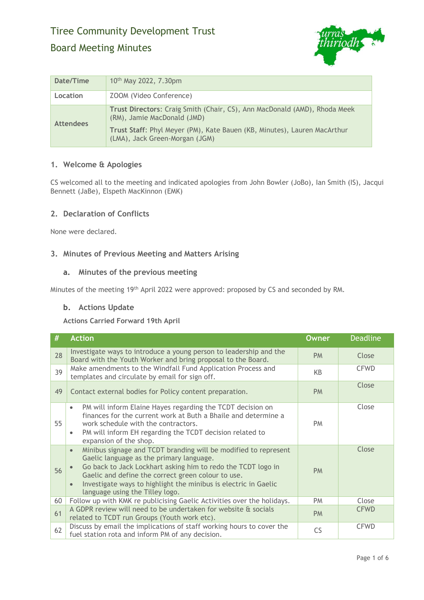# Tiree Community Development Trust Board Meeting Minutes



| Date/Time        | 10 <sup>th</sup> May 2022, 7.30pm                                                                                                                                                                                      |
|------------------|------------------------------------------------------------------------------------------------------------------------------------------------------------------------------------------------------------------------|
| Location         | ZOOM (Video Conference)                                                                                                                                                                                                |
| <b>Attendees</b> | Trust Directors: Craig Smith (Chair, CS), Ann MacDonald (AMD), Rhoda Meek<br>(RM), Jamie MacDonald (JMD)<br>Trust Staff: Phyl Meyer (PM), Kate Bauen (KB, Minutes), Lauren MacArthur<br>(LMA), Jack Green-Morgan (JGM) |

# **1. Welcome & Apologies**

CS welcomed all to the meeting and indicated apologies from John Bowler (JoBo), Ian Smith (IS), Jacqui Bennett (JaBe), Elspeth MacKinnon (EMK)

# **2. Declaration of Conflicts**

None were declared.

# **3. Minutes of Previous Meeting and Matters Arising**

# **a. Minutes of the previous meeting**

Minutes of the meeting 19th April 2022 were approved: proposed by CS and seconded by RM.

#### **b. Actions Update**

**Actions Carried Forward 19th April**

| #  | <b>Action</b>                                                                                                                                                                                                                                                                                                                                                                  | <b>Owner</b> | <b>Deadline</b> |
|----|--------------------------------------------------------------------------------------------------------------------------------------------------------------------------------------------------------------------------------------------------------------------------------------------------------------------------------------------------------------------------------|--------------|-----------------|
| 28 | Investigate ways to introduce a young person to leadership and the<br>Board with the Youth Worker and bring proposal to the Board.                                                                                                                                                                                                                                             | <b>PM</b>    | Close           |
| 39 | Make amendments to the Windfall Fund Application Process and<br>templates and circulate by email for sign off.                                                                                                                                                                                                                                                                 | KΒ           | <b>CFWD</b>     |
| 49 | Contact external bodies for Policy content preparation.                                                                                                                                                                                                                                                                                                                        | <b>PM</b>    | Close           |
| 55 | PM will inform Elaine Hayes regarding the TCDT decision on<br>$\bullet$<br>finances for the current work at Buth a Bhaile and determine a<br>work schedule with the contractors.<br>PM will inform EH regarding the TCDT decision related to<br>$\bullet$<br>expansion of the shop.                                                                                            | <b>PM</b>    | Close           |
| 56 | Minibus signage and TCDT branding will be modified to represent<br>$\bullet$<br>Gaelic language as the primary language.<br>Go back to Jack Lockhart asking him to redo the TCDT logo in<br>$\bullet$<br>Gaelic and define the correct green colour to use.<br>Investigate ways to highlight the minibus is electric in Gaelic<br>$\bullet$<br>language using the Tilley logo. | <b>PM</b>    | Close           |
| 60 | Follow up with KMK re publicising Gaelic Activities over the holidays.                                                                                                                                                                                                                                                                                                         | <b>PM</b>    | Close           |
| 61 | A GDPR review will need to be undertaken for website & socials<br>related to TCDT run Groups (Youth work etc).                                                                                                                                                                                                                                                                 | <b>PM</b>    | <b>CFWD</b>     |
| 62 | Discuss by email the implications of staff working hours to cover the<br>fuel station rota and inform PM of any decision.                                                                                                                                                                                                                                                      | <b>CS</b>    | <b>CFWD</b>     |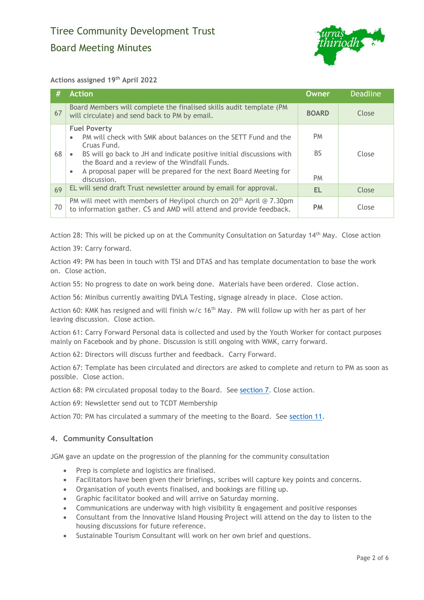

#### **Actions assigned 19th April 2022**

| #  | <b>Action</b>                                                                                                                                                                                                                                                                                                                 | Owner                         | <b>Deadline</b> |
|----|-------------------------------------------------------------------------------------------------------------------------------------------------------------------------------------------------------------------------------------------------------------------------------------------------------------------------------|-------------------------------|-----------------|
| 67 | Board Members will complete the finalised skills audit template (PM)<br>will circulate) and send back to PM by email.                                                                                                                                                                                                         | <b>BOARD</b>                  | Close           |
| 68 | <b>Fuel Poverty</b><br>PM will check with SMK about balances on the SETT Fund and the<br>Cruas Fund.<br>BS will go back to JH and indicate positive initial discussions with<br>the Board and a review of the Windfall Funds.<br>A proposal paper will be prepared for the next Board Meeting for<br>$\bullet$<br>discussion. | <b>PM</b><br>BS.<br><b>PM</b> | Close           |
| 69 | EL will send draft Trust newsletter around by email for approval.                                                                                                                                                                                                                                                             | EL                            | Close           |
| 70 | PM will meet with members of Heylipol church on $20th$ April @ 7.30pm<br>to information gather. CS and AMD will attend and provide feedback.                                                                                                                                                                                  | <b>PM</b>                     | Close           |

Action 28: This will be picked up on at the Community Consultation on Saturday 14th May. Close action

Action 39: Carry forward.

Action 49: PM has been in touch with TSI and DTAS and has template documentation to base the work on. Close action.

Action 55: No progress to date on work being done. Materials have been ordered. Close action.

Action 56: Minibus currently awaiting DVLA Testing, signage already in place. Close action.

Action 60: KMK has resigned and will finish  $w/c$  16<sup>th</sup> May. PM will follow up with her as part of her leaving discussion. Close action.

Action 61: Carry Forward Personal data is collected and used by the Youth Worker for contact purposes mainly on Facebook and by phone. Discussion is still ongoing with WMK, carry forward.

Action 62: Directors will discuss further and feedback. Carry Forward.

Action 67: Template has been circulated and directors are asked to complete and return to PM as soon as possible. Close action.

Action 68: PM circulated proposal today to the Board. See [section 7.](#page-2-0) Close action.

Action 69: Newsletter send out to TCDT Membership

Action 70: PM has circulated a summary of the meeting to the Board. See [section](#page-4-0) 11.

#### **4. Community Consultation**

JGM gave an update on the progression of the planning for the community consultation

- Prep is complete and logistics are finalised.
- Facilitators have been given their briefings, scribes will capture key points and concerns.
- Organisation of youth events finalised, and bookings are filling up.
- Graphic facilitator booked and will arrive on Saturday morning.
- Communications are underway with high visibility & engagement and positive responses
- Consultant from the Innovative Island Housing Project will attend on the day to listen to the housing discussions for future reference.
- Sustainable Tourism Consultant will work on her own brief and questions.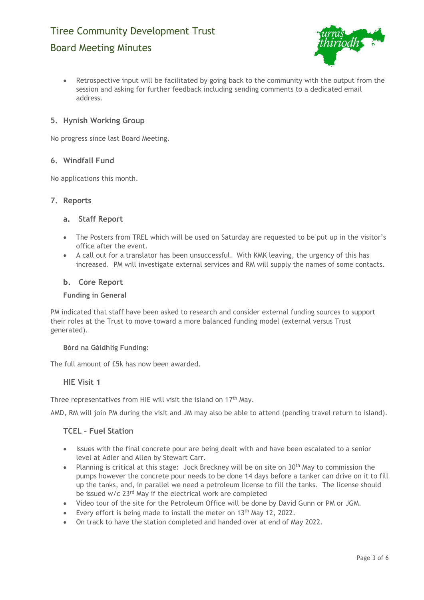# Tiree Community Development Trust

# Board Meeting Minutes



• Retrospective input will be facilitated by going back to the community with the output from the session and asking for further feedback including sending comments to a dedicated email address.

# **5. Hynish Working Group**

No progress since last Board Meeting.

# <span id="page-2-0"></span>**6. Windfall Fund**

No applications this month.

#### **7. Reports**

#### **a. Staff Report**

- The Posters from TREL which will be used on Saturday are requested to be put up in the visitor's office after the event.
- A call out for a translator has been unsuccessful. With KMK leaving, the urgency of this has increased. PM will investigate external services and RM will supply the names of some contacts.

#### **b. Core Report**

#### **Funding in General**

PM indicated that staff have been asked to research and consider external funding sources to support their roles at the Trust to move toward a more balanced funding model (external versus Trust generated).

#### **Bòrd na Gàidhlig Funding:**

The full amount of £5k has now been awarded.

#### **HIE Visit 1**

Three representatives from HIE will visit the island on 17<sup>th</sup> May.

AMD, RM will join PM during the visit and JM may also be able to attend (pending travel return to island).

#### **TCEL – Fuel Station**

- Issues with the final concrete pour are being dealt with and have been escalated to a senior level at Adler and Allen by Stewart Carr.
- Planning is critical at this stage: Jock Breckney will be on site on 30<sup>th</sup> May to commission the pumps however the concrete pour needs to be done 14 days before a tanker can drive on it to fill up the tanks, and, in parallel we need a petroleum license to fill the tanks. The license should be issued w/c 23rd May if the electrical work are completed
- Video tour of the site for the Petroleum Office will be done by David Gunn or PM or JGM.
- Every effort is being made to install the meter on  $13<sup>th</sup>$  May 12, 2022.
- On track to have the station completed and handed over at end of May 2022.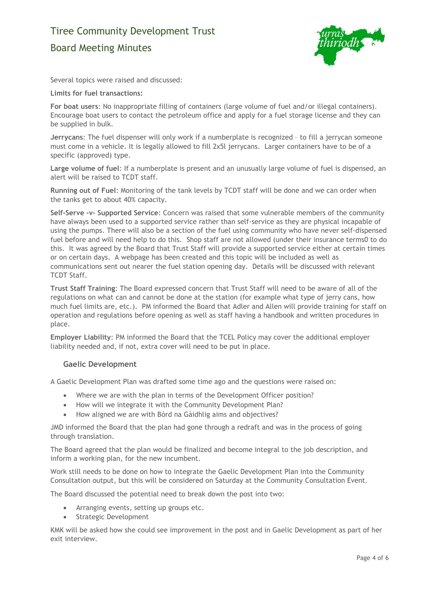# Tiree Community Development Trust Board Meeting Minutes



Several topics were raised and discussed:

#### **Limits for fuel transactions:**

**For boat users**: No inappropriate filling of containers (large volume of fuel and/or illegal containers). Encourage boat users to contact the petroleum office and apply for a fuel storage license and they can be supplied in bulk.

**Jerrycans**: The fuel dispenser will only work if a numberplate is recognized – to fill a jerrycan someone must come in a vehicle. It is legally allowed to fill 2x5l jerrycans. Larger containers have to be of a specific (approved) type.

**Large volume of fuel**: If a numberplate is present and an unusually large volume of fuel is dispensed, an alert will be raised to TCDT staff.

**Running out of Fuel**: Monitoring of the tank levels by TCDT staff will be done and we can order when the tanks get to about 40% capacity.

**Self-Serve -v- Supported Service**: Concern was raised that some vulnerable members of the community have always been used to a supported service rather than self-service as they are physical incapable of using the pumps. There will also be a section of the fuel using community who have never self-dispensed fuel before and will need help to do this. Shop staff are not allowed (under their insurance terms0 to do this. It was agreed by the Board that Trust Staff will provide a supported service either at certain times or on certain days. A webpage has been created and this topic will be included as well as communications sent out nearer the fuel station opening day. Details will be discussed with relevant TCDT Staff.

**Trust Staff Training**: The Board expressed concern that Trust Staff will need to be aware of all of the regulations on what can and cannot be done at the station (for example what type of jerry cans, how much fuel limits are, etc.). PM informed the Board that Adler and Allen will provide training for staff on operation and regulations before opening as well as staff having a handbook and written procedures in place.

**Employer Liability**: PM informed the Board that the TCEL Policy may cover the additional employer liability needed and, if not, extra cover will need to be put in place.

#### **Gaelic Development**

A Gaelic Development Plan was drafted some time ago and the questions were raised on:

- Where we are with the plan in terms of the Development Officer position?
- How will we integrate it with the Community Development Plan?
- How aligned we are with Bòrd na Gàidhlig aims and objectives?

JMD informed the Board that the plan had gone through a redraft and was in the process of going through translation.

The Board agreed that the plan would be finalized and become integral to the job description, and inform a working plan, for the new incumbent.

Work still needs to be done on how to integrate the Gaelic Development Plan into the Community Consultation output, but this will be considered on Saturday at the Community Consultation Event.

The Board discussed the potential need to break down the post into two:

- Arranging events, setting up groups etc.
- Strategic Development

KMK will be asked how she could see improvement in the post and in Gaelic Development as part of her exit interview.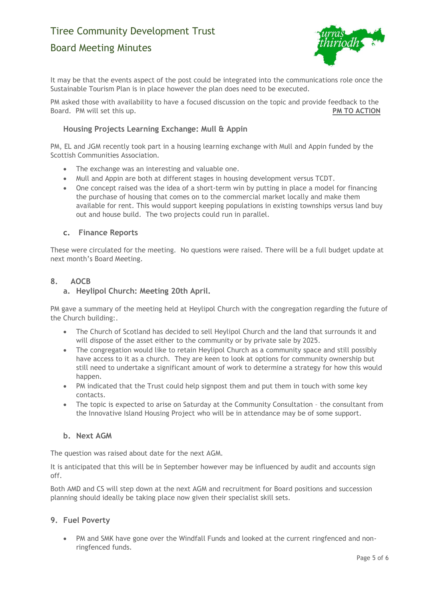# Tiree Community Development Trust

# Board Meeting Minutes



It may be that the events aspect of the post could be integrated into the communications role once the Sustainable Tourism Plan is in place however the plan does need to be executed.

PM asked those with availability to have a focused discussion on the topic and provide feedback to the Board. PM will set this up. **PM TO ACTION** 

# **Housing Projects Learning Exchange: Mull & Appin**

PM, EL and JGM recently took part in a housing learning exchange with Mull and Appin funded by the Scottish Communities Association.

- The exchange was an interesting and valuable one.
- Mull and Appin are both at different stages in housing development versus TCDT.
- One concept raised was the idea of a short-term win by putting in place a model for financing the purchase of housing that comes on to the commercial market locally and make them available for rent. This would support keeping populations in existing townships versus land buy out and house build. The two projects could run in parallel.

# **c. Finance Reports**

These were circulated for the meeting. No questions were raised. There will be a full budget update at next month's Board Meeting.

# <span id="page-4-0"></span>**8. AOCB**

# **a. Heylipol Church: Meeting 20th April.**

PM gave a summary of the meeting held at Heylipol Church with the congregation regarding the future of the Church building:.

- The Church of Scotland has decided to sell Heylipol Church and the land that surrounds it and will dispose of the asset either to the community or by private sale by 2025.
- The congregation would like to retain Heylipol Church as a community space and still possibly have access to it as a church. They are keen to look at options for community ownership but still need to undertake a significant amount of work to determine a strategy for how this would happen.
- PM indicated that the Trust could help signpost them and put them in touch with some key contacts.
- The topic is expected to arise on Saturday at the Community Consultation the consultant from the Innovative Island Housing Project who will be in attendance may be of some support.

# **b. Next AGM**

The question was raised about date for the next AGM.

It is anticipated that this will be in September however may be influenced by audit and accounts sign off.

Both AMD and CS will step down at the next AGM and recruitment for Board positions and succession planning should ideally be taking place now given their specialist skill sets.

# **9. Fuel Poverty**

• PM and SMK have gone over the Windfall Funds and looked at the current ringfenced and nonringfenced funds.